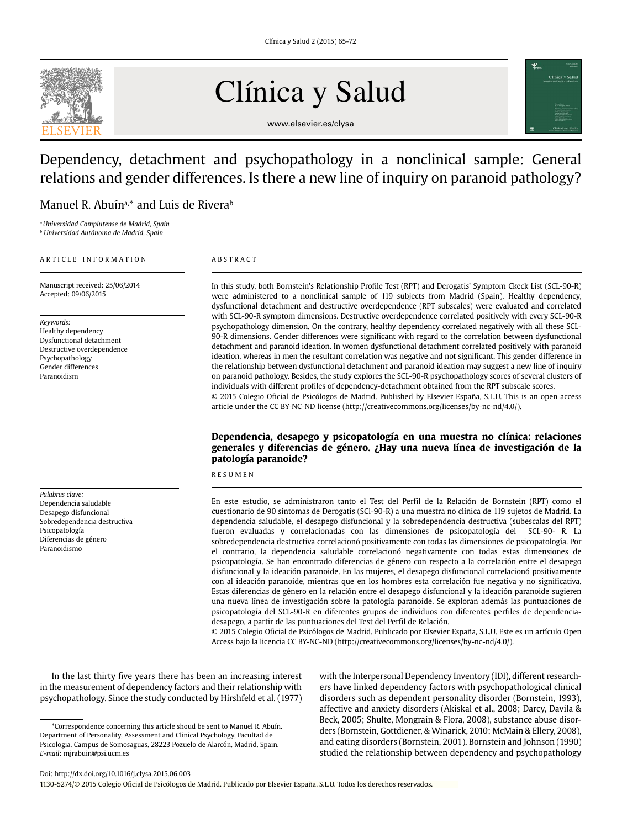

# Clínica y Salud



www.elsevier.es/clysa

# Dependency, detachment and psychopathology in a nonclinical sample: General relations and gender differences. Is there a new line of inquiry on paranoid pathology?

Manuel R. Abuín<sup>a,\*</sup> and Luis de Rivera<sup>b</sup>

*<sup>a</sup>Universidad Complutense de Madrid, Spain b Universidad Autónoma de Madrid, Spain*

ARTICLE INFORMATION

Manuscript received: 25/06/2014 Accepted: 09/06/2015

*Keywords:* Healthy dependency Dysfunctional detachment Destructive overdependence Psychopathology Gender differences Paranoidism

*Palabras clave:* Dependencia saludable Desapego disfuncional Sobredependencia destructiva Psicopatología Diferencias de género Paranoidismo

# ABSTRACT

In this study, both Bornstein's Relationship Profile Test (RPT) and Derogatis' Symptom Ckeck List (SCL-90-R) were administered to a nonclinical sample of 119 subjects from Madrid (Spain). Healthy dependency, dysfunctional detachment and destructive overdependence (RPT subscales) were evaluated and correlated with SCL-90-R symptom dimensions. Destructive overdependence correlated positively with every SCL-90-R psychopathology dimension. On the contrary, healthy dependency correlated negatively with all these SCL-90-R dimensions. Gender differences were significant with regard to the correlation between dysfunctional detachment and paranoid ideation. In women dysfunctional detachment correlated positively with paranoid ideation, whereas in men the resultant correlation was negative and not significant. This gender difference in the relationship between dysfunctional detachment and paranoid ideation may suggest a new line of inquiry on paranoid pathology. Besides, the study explores the SCL-90-R psychopathology scores of several clusters of individuals with different profiles of dependency-detachment obtained from the RPT subscale scores. © 2015 Colegio Oficial de Psicólogos de Madrid. Published by Elsevier España, S.L.U. This is an open access article under the CC BY-NC-ND license (http://creativecommons.org/licenses/by-nc-nd/4.0/).

# **Dependencia, desapego y psicopatología en una muestra no clínica: relaciones generales y diferencias de género. ¿Hay una nueva línea de investigación de la patología paranoide?**

RESUMEN

En este estudio, se administraron tanto el Test del Perfil de la Relación de Bornstein (RPT) como el cuestionario de 90 síntomas de Derogatis (SCl-90-R) a una muestra no clínica de 119 sujetos de Madrid. La dependencia saludable, el desapego disfuncional y la sobredependencia destructiva (subescalas del RPT) fueron evaluadas y correlacionadas con las dimensiones de psicopatología del SCL-90- R. La sobredependencia destructiva correlacionó positivamente con todas las dimensiones de psicopatología. Por el contrario, la dependencia saludable correlacionó negativamente con todas estas dimensiones de psicopatología. Se han encontrado diferencias de género con respecto a la correlación entre el desapego disfuncional y la ideación paranoide. En las mujeres, el desapego disfuncional correlacionó positivamente con al ideación paranoide, mientras que en los hombres esta correlación fue negativa y no significativa. Estas diferencias de género en la relación entre el desapego disfuncional y la ideación paranoide sugieren una nueva línea de investigación sobre la patología paranoide. Se exploran además las puntuaciones de psicopatología del SCL-90-R en diferentes grupos de individuos con diferentes perfiles de dependenciadesapego, a partir de las puntuaciones del Test del Perfil de Relación.

© 2015 Colegio Oficial de Psicólogos de Madrid. Publicado por Elsevier España, S.L.U. Este es un artículo Open Access bajo la licencia CC BY-NC-ND (http://creativecommons.org/licenses/by-nc-nd/4.0/).

In the last thirty five years there has been an increasing interest in the measurement of dependency factors and their relationship with psychopathology. Since the study conducted by Hirshfeld et al. (1977)

with the Interpersonal Dependency Inventory (IDI), different researchers have linked dependency factors with psychopathological clinical disorders such as dependent personality disorder (Bornstein, 1993), affective and anxiety disorders (Akiskal et al., 2008; Darcy, Davila & Beck, 2005; Shulte, Mongrain & Flora, 2008), substance abuse disorders (Bornstein, Gottdiener, & Winarick, 2010; McMain & Ellery, 2008), and eating disorders (Bornstein, 2001). Bornstein and Johnson (1990) studied the relationship between dependency and psychopathology

Doi: http://dx.doi.org/10.1016/j.clysa.2015.06.003

1130-5274/© 2015 Colegio Oficial de Psicólogos de Madrid. Publicado por Elsevier España, S.L.U. Todos los derechos reservados.

<sup>\*</sup>Correspondence concerning this article shoud be sent to Manuel R. Abuín. Department of Personality, Assessment and Clinical Psychology, Facultad de Psicologia, Campus de Somosaguas, 28223 Pozuelo de Alarcón, Madrid, Spain. *E-mail*: mjrabuin@psi.ucm.es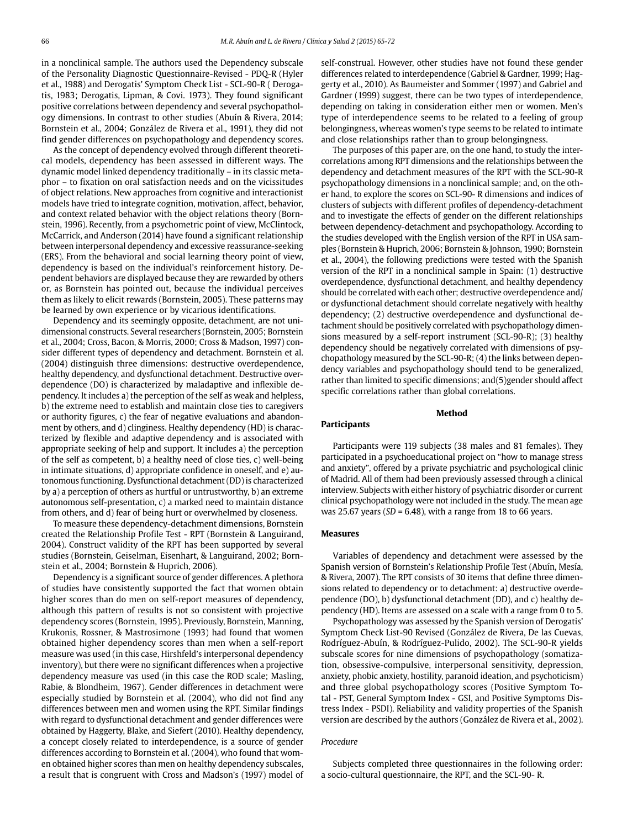in a nonclinical sample. The authors used the Dependency subscale of the Personality Diagnostic Questionnaire-Revised - PDQ-R (Hyler et al., 1988) and Derogatis' Symptom Check List - SCL-90-R ( Derogatis, 1983; Derogatis, Lipman, & Covi. 1973). They found significant positive correlations between dependency and several psychopathology dimensions. In contrast to other studies (Abuín & Rivera, 2014; Bornstein et al., 2004; González de Rivera et al., 1991), they did not find gender differences on psychopathology and dependency scores.

As the concept of dependency evolved through different theoretical models, dependency has been assessed in different ways. The dynamic model linked dependency traditionally – in its classic metaphor – to fixation on oral satisfaction needs and on the vicissitudes of object relations. New approaches from cognitive and interactionist models have tried to integrate cognition, motivation, affect, behavior, and context related behavior with the object relations theory (Bornstein, 1996). Recently, from a psychometric point of view, McClintock, McCarrick, and Anderson (2014) have found a significant relationship between interpersonal dependency and excessive reassurance-seeking (ERS). From the behavioral and social learning theory point of view, dependency is based on the individual's reinforcement history. Dependent behaviors are displayed because they are rewarded by others or, as Bornstein has pointed out, because the individual perceives them as likely to elicit rewards (Bornstein, 2005). These patterns may be learned by own experience or by vicarious identifications.

Dependency and its seemingly opposite, detachment, are not unidimensional constructs. Several researchers (Bornstein, 2005; Bornstein et al., 2004; Cross, Bacon, & Morris, 2000; Cross & Madson, 1997) consider different types of dependency and detachment. Bornstein et al. (2004) distinguish three dimensions: destructive overdependence, healthy dependency, and dysfunctional detachment. Destructive overdependence (DO) is characterized by maladaptive and inflexible dependency. It includes a) the perception of the self as weak and helpless, b) the extreme need to establish and maintain close ties to caregivers or authority figures, c) the fear of negative evaluations and abandonment by others, and d) clinginess. Healthy dependency (HD) is characterized by flexible and adaptive dependency and is associated with appropriate seeking of help and support. It includes a) the perception of the self as competent, b) a healthy need of close ties, c) well-being in intimate situations, d) appropriate confidence in oneself, and e) autonomous functioning. Dysfunctional detachment (DD) is characterized by a) a perception of others as hurtful or untrustworthy, b) an extreme autonomous self-presentation, c) a marked need to maintain distance from others, and d) fear of being hurt or overwhelmed by closeness.

To measure these dependency-detachment dimensions, Bornstein created the Relationship Profile Test - RPT (Bornstein & Languirand, 2004). Construct validity of the RPT has been supported by several studies (Bornstein, Geiselman, Eisenhart, & Languirand, 2002; Bornstein et al., 2004; Bornstein & Huprich, 2006).

Dependency is a significant source of gender differences. A plethora of studies have consistently supported the fact that women obtain higher scores than do men on self-report measures of dependency, although this pattern of results is not so consistent with projective dependency scores (Bornstein, 1995). Previously, Bornstein, Manning, Krukonis, Rossner, & Mastrosimone (1993) had found that women obtained higher dependency scores than men when a self-report measure was used (in this case, Hirshfeld's interpersonal dependency inventory), but there were no significant differences when a projective dependency measure vas used (in this case the ROD scale; Masling, Rabie, & Blondheim, 1967). Gender differences in detachment were especially studied by Bornstein et al. (2004), who did not find any differences between men and women using the RPT. Similar findings with regard to dysfunctional detachment and gender differences were obtained by Haggerty, Blake, and Siefert (2010). Healthy dependency, a concept closely related to interdependence, is a source of gender differences according to Bornstein et al. (2004), who found that women obtained higher scores than men on healthy dependency subscales, a result that is congruent with Cross and Madson's (1997) model of

self-construal. However, other studies have not found these gender differences related to interdependence (Gabriel & Gardner, 1999; Haggerty et al., 2010). As Baumeister and Sommer (1997) and Gabriel and Gardner (1999) suggest, there can be two types of interdependence, depending on taking in consideration either men or women. Men's type of interdependence seems to be related to a feeling of group belongingness, whereas women's type seems to be related to intimate and close relationships rather than to group belongingness.

The purposes of this paper are, on the one hand, to study the intercorrelations among RPT dimensions and the relationships between the dependency and detachment measures of the RPT with the SCL-90-R psychopathology dimensions in a nonclinical sample; and, on the other hand, to explore the scores on SCL-90- R dimensions and indices of clusters of subjects with different profiles of dependency-detachment and to investigate the effects of gender on the different relationships between dependency-detachment and psychopathology. According to the studies developed with the English version of the RPT in USA samples (Bornstein & Huprich, 2006; Bornstein & Johnson, 1990; Bornstein et al., 2004), the following predictions were tested with the Spanish version of the RPT in a nonclinical sample in Spain: (1) destructive overdependence, dysfunctional detachment, and healthy dependency should be correlated with each other; destructive overdependence and/ or dysfunctional detachment should correlate negatively with healthy dependency; (2) destructive overdependence and dysfunctional detachment should be positively correlated with psychopathology dimensions measured by a self-report instrument (SCL-90-R); (3) healthy dependency should be negatively correlated with dimensions of psychopathology measured by the SCL-90-R; (4) the links between dependency variables and psychopathology should tend to be generalized, rather than limited to specific dimensions; and (5) gender should affect specific correlations rather than global correlations.

# **Participants**

# **Method**

Participants were 119 subjects (38 males and 81 females). They participated in a psychoeducational project on "how to manage stress and anxiety", offered by a private psychiatric and psychological clinic of Madrid. All of them had been previously assessed through a clinical interview. Subjects with either history of psychiatric disorder or current clinical psychopathology were not included in the study. The mean age was 25.67 years (*SD* = 6.48), with a range from 18 to 66 years.

#### **Measures**

Variables of dependency and detachment were assessed by the Spanish version of Bornstein's Relationship Profile Test (Abuín, Mesía, & Rivera, 2007). The RPT consists of 30 items that define three dimensions related to dependency or to detachment: a) destructive overdependence (DO), b) dysfunctional detachment (DD), and c) healthy dependency (HD). Items are assessed on a scale with a range from 0 to 5.

Psychopathology was assessed by the Spanish version of Derogatis' Symptom Check List-90 Revised (González de Rivera, De las Cuevas, Rodríguez-Abuín, & Rodríguez-Pulido, 2002). The SCL-90-R yields subscale scores for nine dimensions of psychopathology (somatization, obsessive-compulsive, interpersonal sensitivity, depression, anxiety, phobic anxiety, hostility, paranoid ideation, and psychoticism) and three global psychopathology scores (Positive Symptom Total - PST, General Symptom Index - GSI, and Positive Symptoms Distress Index - PSDI). Reliability and validity properties of the Spanish version are described by the authors (González de Rivera et al., 2002).

#### *Procedure*

Subjects completed three questionnaires in the following order: a socio-cultural questionnaire, the RPT, and the SCL-90- R.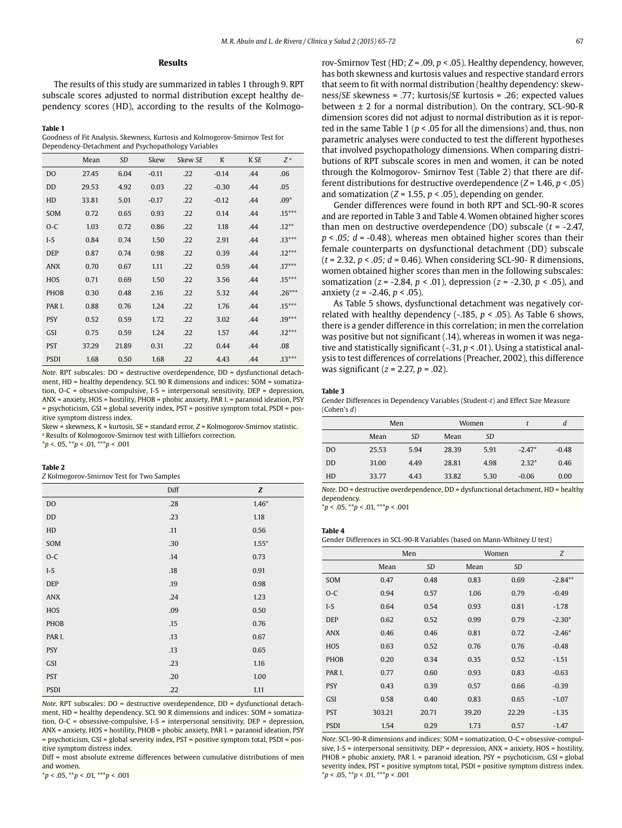# **Results**

The results of this study are summarized in tables 1 through 9. RPT subscale scores adjusted to normal distribution except healthy dependency scores (HD), according to the results of the Kolmogo-

**Table 1**

Goodness of Fit Analysis. Skewness, Kurtosis and Kolmogorov-Smirnov Test for Dependency-Detachment and Psychopathology Variables

|                | Mean  | <b>SD</b> | Skew    | Skew SE | K       | K SE | Z <sup>a</sup> |
|----------------|-------|-----------|---------|---------|---------|------|----------------|
| D <sub>O</sub> | 27.45 | 6.04      | $-0.11$ | .22     | $-0.14$ | .44  | .06            |
| <b>DD</b>      | 29.53 | 4.92      | 0.03    | .22     | $-0.30$ | .44  | .05            |
| HD             | 33.81 | 5.01      | $-0.17$ | .22     | $-0.12$ | .44  | $.09*$         |
| SOM            | 0.72  | 0.65      | 0.93    | .22     | 0.14    | .44  | $.15***$       |
| $O-C$          | 1.03  | 0.72      | 0.86    | .22     | 1.18    | .44  | $.12***$       |
| $I-S$          | 0.84  | 0.74      | 1.50    | .22     | 2.91    | .44  | $.13***$       |
| <b>DEP</b>     | 0.87  | 0.74      | 0.98    | .22     | 0.39    | .44  | $.12***$       |
| <b>ANX</b>     | 0.70  | 0.67      | 1.11    | .22     | 0.59    | .44  | $.17***$       |
| HOS            | 0.71  | 0.69      | 1.50    | .22     | 3.56    | .44  | $.15***$       |
| <b>PHOB</b>    | 0.30  | 0.48      | 2.16    | .22     | 5.32    | .44  | $.26***$       |
| PAR I.         | 0.88  | 0.76      | 1.24    | .22     | 1.76    | .44  | $.15***$       |
| <b>PSY</b>     | 0.52  | 0.59      | 1.72    | .22     | 3.02    | .44  | $.19***$       |
| <b>GSI</b>     | 0.75  | 0.59      | 1.24    | .22     | 1.57    | .44  | $.12***$       |
| <b>PST</b>     | 37.29 | 21.89     | 0.31    | .22     | 0.44    | .44  | .08            |
| <b>PSDI</b>    | 1.68  | 0.50      | 1.68    | .22     | 4.43    | .44  | $.13***$       |

*Note*. RPT subscales: DO = destructive overdependence, DD = dysfunctional detachment, HD = healthy dependency. SCL 90 R dimensions and indices: SOM = somatization, O-C = obsessive-compulsive, I-S = interpersonal sensitivity, DEP = depression, ANX = anxiety, HOS = hostility, PHOB = phobic anxiety, PAR I. = paranoid ideation, PSY = psychoticism, GSI = global severity index, PST = positive symptom total, PSDI = positive symptom distress index.

Skew = skewness, K = kurtosis, *SE* = standard error, *Z* = Kolmogorov-Smirnov statistic. a Results of Kolmogorov-Smirnov test with Lilliefors correction.

\**p* <. 05, \*\**p* < .01, \*\*\**p* < .001

#### **Table 2**

*Z* Kolmogorov-Smirnov Test for Two Samples

|             | Diff | Z       |
|-------------|------|---------|
| DO          | .28  | $1.46*$ |
| DD          | .23  | 1.18    |
| HD          | .11  | 0.56    |
| SOM         | .30  | $1.55*$ |
| $O-C$       | .14  | 0.73    |
| $I-S$       | .18  | 0.91    |
| <b>DEP</b>  | .19  | 0.98    |
| <b>ANX</b>  | .24  | 1.23    |
| HOS         | .09  | 0.50    |
| PHOB        | .15  | 0.76    |
| PAR I.      | .13  | 0.67    |
| <b>PSY</b>  | .13  | 0.65    |
| GSI         | .23  | 1.16    |
| PST         | .20  | 1.00    |
| <b>PSDI</b> | .22  | 1.11    |

*Note*. RPT subscales: DO = destructive overdependence, DD = dysfunctional detachment, HD = healthy dependency. SCL 90 R dimensions and indices: SOM = somatization, O-C = obsessive-compulsive, I-S = interpersonal sensitivity, DEP = depression, ANX = anxiety, HOS = hostility, PHOB = phobic anxiety, PAR I. = paranoid ideation, PSY = psychoticism, GSI = global severity index, PST = positive symptom total, PSDI = positive symptom distress index.

Diff = most absolute extreme differences between cumulative distributions of men and women.

\**p* < .05, \*\**p* < .01, \*\*\**p* < .001

rov-Smirnov Test (HD; *Z* = .09, *p* < .05). Healthy dependency, however, has both skewness and kurtosis values and respective standard errors that seem to fit with normal distribution (healthy dependency: skewness/*SE* skewness = .77; kurtosis/*SE* kurtosis = .26; expected values between ± 2 for a normal distribution). On the contrary, SCL-90-R dimension scores did not adjust to normal distribution as it is reported in the same Table 1 (*p* < .05 for all the dimensions) and, thus, non parametric analyses were conducted to test the different hypotheses that involved psychopathology dimensions. When comparing distributions of RPT subscale scores in men and women, it can be noted through the Kolmogorov- Smirnov Test (Table 2) that there are different distributions for destructive overdependence (*Z* = 1.46, *p* < .05) and somatization (*Z* = 1.55, *p* < .05), depending on gender.

Gender differences were found in both RPT and SCL-90-R scores and are reported in Table 3 and Table 4. Women obtained higher scores than men on destructive overdependence (DO) subscale (*t* = -2.47, *p* < *.05; d* = -0.48), whereas men obtained higher scores than their female counterparts on dysfunctional detachment (DD) subscale (*t* = 2.32, *p* < *.05; d* = 0.46). When considering SCL-90- R dimensions, women obtained higher scores than men in the following subscales: somatization (*z* = -2.84, *p* < .01), depression (*z* = -2.30, *p* < .05), and anxiety (*z* = -2.46, *p* < .05).

As Table 5 shows, dysfunctional detachment was negatively correlated with healthy dependency (-.185, *p* < .05). As Table 6 shows, there is a gender difference in this correlation; in men the correlation was positive but not significant (.14), whereas in women it was negative and statistically significant (-.31,  $p < .01$ ). Using a statistical analysis to test differences of correlations (Preacher, 2002), this difference was significant (*z* = 2.27, *p* = .02).

#### **Table 3**

Gender Differences in Dependency Variables (Student-*t*) and Effect Size Measure (Cohen's *d*)

|                | Men   |           | Women |           |          | d       |
|----------------|-------|-----------|-------|-----------|----------|---------|
|                | Mean  | <b>SD</b> |       | <b>SD</b> |          |         |
| D <sub>O</sub> | 25.53 | 5.94      | 28.39 | 5.91      | $-2.47*$ | $-0.48$ |
| DD             | 31.00 | 4.49      | 28.81 | 4.98      | $2.32*$  | 0.46    |
| HD             | 33.77 | 4.43      | 33.82 | 5.30      | $-0.06$  | 0.00    |

*Note*. DO = destructive overdependence, DD = dysfunctional detachment, HD = healthy dependency.

\**p* < .05, \*\**p* < .01, \*\*\**p* < .001

# **Table 4**

Gender Differences in SCL-90-R Variables (based on Mann-Whitney *U* test)

|             |        | Men       |       | Women     |           |  |  |
|-------------|--------|-----------|-------|-----------|-----------|--|--|
|             | Mean   | <b>SD</b> | Mean  | <b>SD</b> |           |  |  |
| SOM         | 0.47   | 0.48      | 0.83  | 0.69      | $-2.84**$ |  |  |
| $O-C$       | 0.94   | 0.57      | 1.06  | 0.79      | $-0.49$   |  |  |
| $I-S$       | 0.64   | 0.54      | 0.93  | 0.81      | $-1.78$   |  |  |
| <b>DEP</b>  | 0.62   | 0.52      | 0.99  | 0.79      | $-2.30*$  |  |  |
| <b>ANX</b>  | 0.46   | 0.46      | 0.81  | 0.72      | $-2.46*$  |  |  |
| <b>HOS</b>  | 0.63   | 0.52      | 0.76  | 0.76      | $-0.48$   |  |  |
| <b>PHOB</b> | 0.20   | 0.34      | 0.35  | 0.52      | $-1.51$   |  |  |
| PAR I.      | 0.77   | 0.60      | 0.93  | 0.83      | $-0.63$   |  |  |
| <b>PSY</b>  | 0.43   | 0.39      | 0.57  | 0.66      | $-0.39$   |  |  |
| <b>GSI</b>  | 0.58   | 0.40      | 0.83  | 0.65      | $-1.07$   |  |  |
| <b>PST</b>  | 303.21 | 20.71     | 39.20 | 22.29     | $-1.35$   |  |  |
| <b>PSDI</b> | 1.54   | 0.29      | 1.73  | 0.57      | $-1.47$   |  |  |

*Note*. SCL-90-R dimensions and indices: SOM = somatization, O-C = obsessive-compulsive, I-S = interpersonal sensitivity, DEP = depression, ANX = anxiety, HOS = hostility, PHOB = phobic anxiety, PAR I. = paranoid ideation, PSY = psychoticism, GSI = global severity index, PST = positive symptom total, PSDI = positive symptom distress index. \**p* < .05, \*\**p* < .01, \*\*\**p* < .001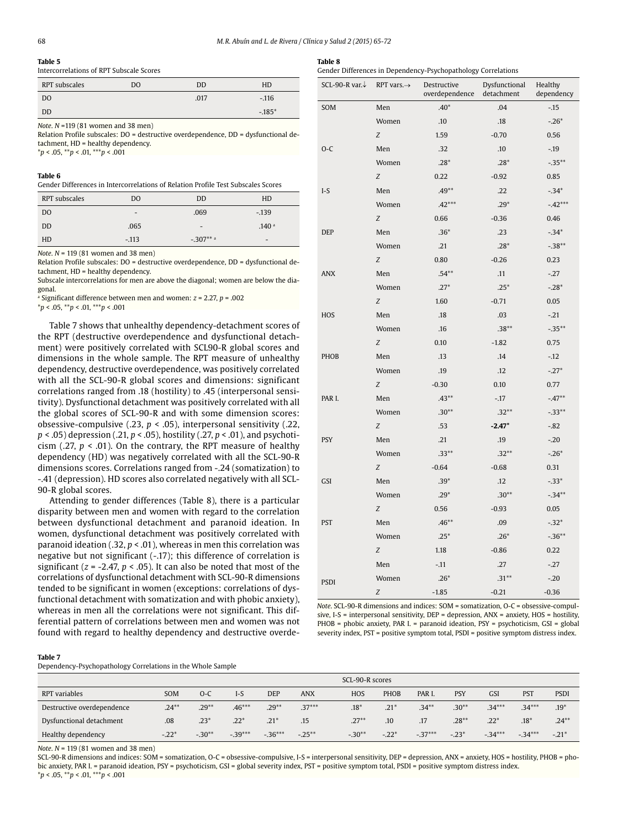# **Table 5**

Intercorrelations of RPT Subscale Scores

| RPT subscales  | DO | <b>DD</b> | HD      |  |  |
|----------------|----|-----------|---------|--|--|
| D <sub>O</sub> |    | .017      | $-116$  |  |  |
| <b>DD</b>      |    |           | $-185*$ |  |  |

*Note*. *N* =119 (81 women and 38 men)

Relation Profile subscales: DO = destructive overdependence, DD = dysfunctional detachment, HD = healthy dependency.

\**p* < .05, \*\**p* < .01, \*\*\**p* < .001

### **Table 6**

Gender Differences in Intercorrelations of Relation Profile Test Subscales Scores

| RPT subscales  | D <sub>O</sub>           | DD                       | HD                |
|----------------|--------------------------|--------------------------|-------------------|
| D <sub>O</sub> | $\overline{\phantom{0}}$ | .069                     | $-139$            |
| <b>DD</b>      | .065                     | $\overline{\phantom{0}}$ | .140 <sup>a</sup> |
| HD             | $-113$                   | $-.307***$ a             | $\qquad \qquad$   |

*Note*. *N* = 119 (81 women and 38 men)

Relation Profile subscales: DO = destructive overdependence, DD = dysfunctional detachment, HD = healthy dependency.

Subscale intercorrelations for men are above the diagonal; women are below the diagonal.

a Significant difference between men and women: *z* = 2.27, *p* = .002

\**p* < .05, \*\**p* < .01, \*\*\**p* < .001

Table 7 shows that unhealthy dependency-detachment scores of the RPT (destructive overdependence and dysfunctional detachment) were positively correlated with SCL90-R global scores and dimensions in the whole sample. The RPT measure of unhealthy dependency, destructive overdependence, was positively correlated with all the SCL-90-R global scores and dimensions: significant correlations ranged from .18 (hostility) to .45 (interpersonal sensitivity). Dysfunctional detachment was positively correlated with all the global scores of SCL-90-R and with some dimension scores: obsessive-compulsive (.23, *p* < .05), interpersonal sensitivity (.22, *p* < .05) depression (.21, *p* < .05), hostility (.27, *p* < .01), and psychoticism  $(.27, p < .01)$ . On the contrary, the RPT measure of healthy dependency (HD) was negatively correlated with all the SCL-90-R dimensions scores. Correlations ranged from -.24 (somatization) to -.41 (depression). HD scores also correlated negatively with all SCL-90-R global scores.

Attending to gender differences (Table 8), there is a particular disparity between men and women with regard to the correlation between dysfunctional detachment and paranoid ideation. In women, dysfunctional detachment was positively correlated with paranoid ideation (.32, *p* < .01), whereas in men this correlation was negative but not significant (-.17); this difference of correlation is significant (*z* = -2.47, *p* < .05). It can also be noted that most of the correlations of dysfunctional detachment with SCL-90-R dimensions tended to be significant in women (exceptions: correlations of dysfunctional detachment with somatization and with phobic anxiety), whereas in men all the correlations were not significant. This differential pattern of correlations between men and women was not found with regard to healthy dependency and destructive overde-

| SCL-90-R var.↓ | RPT vars. $\rightarrow$ | Destructive<br>overdependence | Dysfunctional<br>detachment | Healthy<br>dependency |
|----------------|-------------------------|-------------------------------|-----------------------------|-----------------------|
| SOM            | Men                     | $.40*$                        | .04                         | $-15$                 |
|                | Women                   | .10                           | .18                         | $-.26*$               |
|                | Z                       | 1.59                          | $-0.70$                     | 0.56                  |
| $O-C$          | Men                     | .32                           | .10                         | $-.19$                |
|                | Women                   | $.28*$                        | $.28*$                      | $-.35***$             |
|                | Z                       | 0.22                          | $-0.92$                     | 0.85                  |
| $I-S$          | Men                     | $.49**$                       | .22                         | $-.34*$               |
|                | Women                   | $.42***$                      | $.29*$                      | $-.42***$             |
|                | Z                       | 0.66                          | $-0.36$                     | 0.46                  |
| DEP            | Men                     | $.36*$                        | .23                         | $-.34*$               |
|                | Women                   | .21                           | $.28*$                      | $-.38**$              |
|                | Z                       | 0.80                          | $-0.26$                     | 0.23                  |
| <b>ANX</b>     | Men                     | $.54***$                      | .11                         | $-0.27$               |
|                | Women                   | $.27*$                        | $.25*$                      | $-.28*$               |
|                | Z                       | 1.60                          | $-0.71$                     | 0.05                  |
| HOS            | Men                     | .18                           | .03                         | $-21$                 |
|                | Women                   | .16                           | $.38**$                     | $-.35***$             |
|                | Z                       | 0.10                          | $-1.82$                     | 0.75                  |
| PHOB           | Men                     | .13                           | .14                         | $-12$                 |
|                | Women                   | .19                           | .12                         | $-.27*$               |
|                | Z                       | $-0.30$                       | 0.10                        | 0.77                  |
| PAR I.         | Men                     | $.43***$                      | $-17$                       | $-47**$               |
|                | Women                   | $.30**$                       | $.32**$                     | $-.33***$             |
|                | $\boldsymbol{Z}$        | .53                           | $-2.47*$                    | $-.82$                |
| <b>PSY</b>     | Men                     | .21                           | .19                         | $-.20$                |
|                | Women                   | $.33**$                       | $.32**$                     | $-.26*$               |
|                | Z                       | $-0.64$                       | $-0.68$                     | 0.31                  |
| GSI            | Men                     | $.39*$                        | .12                         | $-.33*$               |
|                | Women                   | $.29*$                        | $.30**$                     | $-34**$               |
|                | Z                       | 0.56                          | $-0.93$                     | 0.05                  |
| <b>PST</b>     | Men                     | $.46***$                      | .09                         | $-.32*$               |
|                | Women                   | $.25*$                        | $.26*$                      | $-.36***$             |
|                | Z                       | 1.18                          | $-0.86$                     | 0.22                  |
|                | Men                     | $-11$                         | .27                         | $-0.27$               |
| <b>PSDI</b>    | Women                   | $.26*$                        | $.31***$                    | $-.20$                |
|                | Z                       | $-1.85$                       | $-0.21$                     | $-0.36$               |

*Note*. SCL-90-R dimensions and indices: SOM = somatization, O-C = obsessive-compulsive, I-S = interpersonal sensitivity, DEP = depression, ANX = anxiety, HOS = hostility, PHOB = phobic anxiety, PAR I. = paranoid ideation, PSY = psychoticism, GSI = global severity index, PST = positive symptom total, PSDI = positive symptom distress index.

#### **Table 7**

Dependency-Psychopathology Correlations in the Whole Sample

|                            | SCL-90-R scores |         |          |            |            |            |        |          |            |          |            |             |
|----------------------------|-----------------|---------|----------|------------|------------|------------|--------|----------|------------|----------|------------|-------------|
| RPT variables              | SOM             | $O-C$   | $I-S$    | <b>DEP</b> | <b>ANX</b> | <b>HOS</b> | PHOB   | PAR I.   | <b>PSY</b> | GSI      | <b>PST</b> | <b>PSDI</b> |
| Destructive overdependence | $.24***$        | $.29**$ | $.46***$ | $.29***$   | $.37***$   | $.18*$     | $.21*$ | $.34***$ | $.30**$    | $.34***$ | $.34***$   | $.19*$      |
| Dysfunctional detachment   | .08             | $.23*$  | $.22*$   | $.21*$     | .15        | $.27**$    | .10    | .17      | $.28**$    | $.22*$   | $.18*$     | $.24***$    |
| Healthy dependency         | $-22*$          | $-30**$ | $-39***$ | $-.36***$  | $-.25***$  | $-30**$    | $-22*$ | $-37***$ | $-23*$     | $-34***$ | $-34***$   | $-21*$      |

*Note*. *N* = 119 (81 women and 38 men)

SCL-90-R dimensions and indices: SOM = somatization, O-C = obsessive-compulsive, I-S = interpersonal sensitivity, DEP = depression, ANX = anxiety, HOS = hostility, PHOB = phobic anxiety, PAR I. = paranoid ideation, PSY = psychoticism, GSI = global severity index, PST = positive symptom total, PSDI = positive symptom distress index. \**p* < .05, \*\**p* < .01, \*\*\**p* < .001

### **Table 8**

Gender Differences in Dependency-Psychopathology Correlations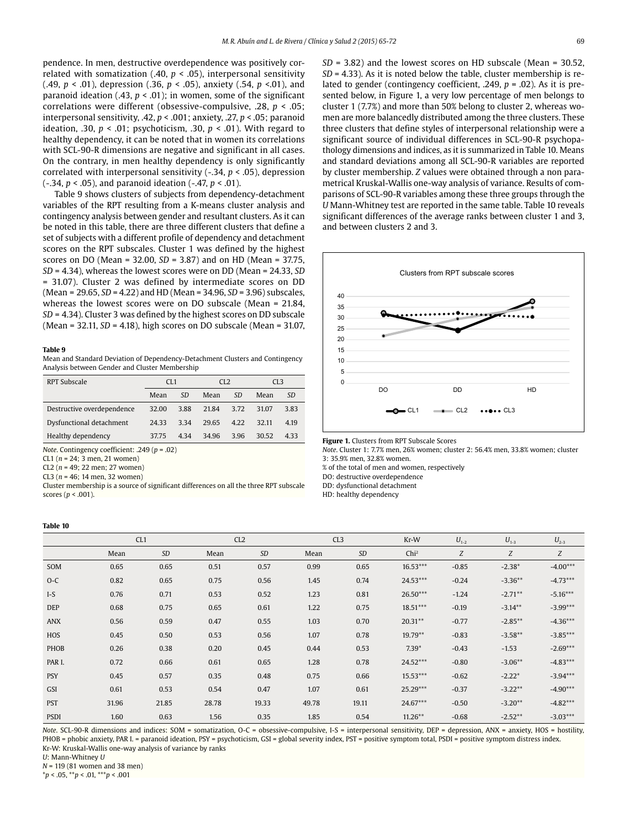pendence. In men, destructive overdependence was positively correlated with somatization  $(.40, p < .05)$ , interpersonal sensitivity (.49, *p* < .01), depression (.36, *p* < .05), anxiety (.54, *p* <.01), and paranoid ideation  $(.43, p < .01)$ ; in women, some of the significant correlations were different (obsessive-compulsive, .28, *p* < .05; interpersonal sensitivity, .42, *p* < .001; anxiety, .27, *p* < .05; paranoid ideation, .30, *p* < .01; psychoticism, .30, *p* < .01). With regard to healthy dependency, it can be noted that in women its correlations with SCL-90-R dimensions are negative and significant in all cases. On the contrary, in men healthy dependency is only significantly correlated with interpersonal sensitivity (-.34, *p* < .05), depression (-.34, *p* < .05), and paranoid ideation (-.47, *p* < .01).

Table 9 shows clusters of subjects from dependency-detachment variables of the RPT resulting from a K-means cluster analysis and contingency analysis between gender and resultant clusters. As it can be noted in this table, there are three different clusters that define a set of subjects with a different profile of dependency and detachment scores on the RPT subscales. Cluster 1 was defined by the highest scores on DO (Mean = 32.00, *SD* = 3.87) and on HD (Mean = 37.75, *SD* = 4.34), whereas the lowest scores were on DD (Mean = 24.33, *SD* = 31.07). Cluster 2 was defined by intermediate scores on DD (Mean = 29.65, *SD* = 4.22) and HD (Mean = 34.96, *SD* = 3.96) subscales, whereas the lowest scores were on DO subscale (Mean = 21.84, *SD* = 4.34). Cluster 3 was defined by the highest scores on DD subscale (Mean = 32.11, *SD* = 4.18), high scores on DO subscale (Mean = 31.07,

#### **Table 9**

Mean and Standard Deviation of Dependency-Detachment Clusters and Contingency Analysis between Gender and Cluster Membership

| <b>RPT Subscale</b>        |       | CL1  |       | CL2  |       | CI.3 |  |
|----------------------------|-------|------|-------|------|-------|------|--|
|                            | Mean  | SD   | Mean  | SD   | Mean  | SD   |  |
| Destructive overdependence | 32.00 | 3.88 | 21.84 | 3.72 | 31.07 | 3.83 |  |
| Dysfunctional detachment   | 24.33 | 3.34 | 29.65 | 4.22 | 32.11 | 4.19 |  |
| Healthy dependency         | 3775  | 4.34 | 34.96 | 3.96 | 30.52 | 4.33 |  |

*Note*. Contingency coefficient: .249 (*p* = .02)

CL1 (*n* = 24; 3 men, 21 women)

CL2 (*n* = 49; 22 men; 27 women)

CL3 (*n* = 46; 14 men, 32 women)

Cluster membership is a source of significant differences on all the three RPT subscale scores (*p* < .001).

*SD* = 3.82) and the lowest scores on HD subscale (Mean = 30.52, *SD* = 4.33). As it is noted below the table, cluster membership is related to gender (contingency coefficient, .249, *p* = .02). As it is presented below, in Figure 1, a very low percentage of men belongs to cluster 1 (7.7%) and more than 50% belong to cluster 2, whereas women are more balancedly distributed among the three clusters. These three clusters that define styles of interpersonal relationship were a significant source of individual differences in SCL-90-R psychopathology dimensions and indices, as it is summarized in Table 10. Means and standard deviations among all SCL-90-R variables are reported by cluster membership. *Z* values were obtained through a non parametrical Kruskal-Wallis one-way analysis of variance. Results of comparisons of SCL-90-R variables among these three groups through the *U* Mann-Whitney test are reported in the same table. Table 10 reveals significant differences of the average ranks between cluster 1 and 3, and between clusters 2 and 3.



**Figure 1.** Clusters from RPT Subscale Scores

*Note*. Cluster 1: 7.7% men, 26% women; cluster 2: 56.4% men, 33.8% women; cluster 3: 35.9% men, 32.8% women.

% of the total of men and women, respectively

DO: destructive overdependence

DD: dysfunctional detachment

HD: healthy dependency

### **Table 10**

|             | CL1   |       |       | CL <sub>2</sub> |       | CL3       |                  | $U_{1-2}$ | $U_{1-3}$  | $U_{2-3}$  |
|-------------|-------|-------|-------|-----------------|-------|-----------|------------------|-----------|------------|------------|
|             | Mean  | SD    | Mean  | <b>SD</b>       | Mean  | <b>SD</b> | Chi <sup>2</sup> | Z         | Z          | Z          |
| SOM         | 0.65  | 0.65  | 0.51  | 0.57            | 0.99  | 0.65      | $16.53***$       | $-0.85$   | $-2.38*$   | $-4.00***$ |
| $O-C$       | 0.82  | 0.65  | 0.75  | 0.56            | 1.45  | 0.74      | 24.53***         | $-0.24$   | $-3.36**$  | $-4.73***$ |
| $I-S$       | 0.76  | 0.71  | 0.53  | 0.52            | 1.23  | 0.81      | 26.50***         | $-1.24$   | $-2.71***$ | $-5.16***$ |
| <b>DEP</b>  | 0.68  | 0.75  | 0.65  | 0.61            | 1.22  | 0.75      | $18.51***$       | $-0.19$   | $-3.14***$ | $-3.99***$ |
| <b>ANX</b>  | 0.56  | 0.59  | 0.47  | 0.55            | 1.03  | 0.70      | $20.31**$        | $-0.77$   | $-2.85***$ | $-4.36***$ |
| <b>HOS</b>  | 0.45  | 0.50  | 0.53  | 0.56            | 1.07  | 0.78      | 19.79**          | $-0.83$   | $-3.58**$  | $-3.85***$ |
| PHOB        | 0.26  | 0.38  | 0.20  | 0.45            | 0.44  | 0.53      | $7.39*$          | $-0.43$   | $-1.53$    | $-2.69***$ |
| PAR I.      | 0.72  | 0.66  | 0.61  | 0.65            | 1.28  | 0.78      | 24.52***         | $-0.80$   | $-3.06**$  | $-4.83***$ |
| <b>PSY</b>  | 0.45  | 0.57  | 0.35  | 0.48            | 0.75  | 0.66      | $15.53***$       | $-0.62$   | $-2.22*$   | $-3.94***$ |
| GSI         | 0.61  | 0.53  | 0.54  | 0.47            | 1.07  | 0.61      | $25.29***$       | $-0.37$   | $-3.22**$  | $-4.90***$ |
| <b>PST</b>  | 31.96 | 21.85 | 28.78 | 19.33           | 49.78 | 19.11     | 24.67***         | $-0.50$   | $-3.20**$  | $-4.82***$ |
| <b>PSDI</b> | 1.60  | 0.63  | 1.56  | 0.35            | 1.85  | 0.54      | $11.26***$       | $-0.68$   | $-2.52**$  | $-3.03***$ |

*Note*. SCL-90-R dimensions and indices: SOM = somatization, O-C = obsessive-compulsive, I-S = interpersonal sensitivity, DEP = depression, ANX = anxiety, HOS = hostility, PHOB = phobic anxiety, PAR I. = paranoid ideation, PSY = psychoticism, GSI = global severity index, PST = positive symptom total, PSDI = positive symptom distress index. Kr-W: Kruskal-Wallis one-way analysis of variance by ranks

*U*: Mann-Whitney *U*

*N* = 119 (81 women and 38 men)

\**p* < .05, \*\**p* < .01, \*\*\**p* < .001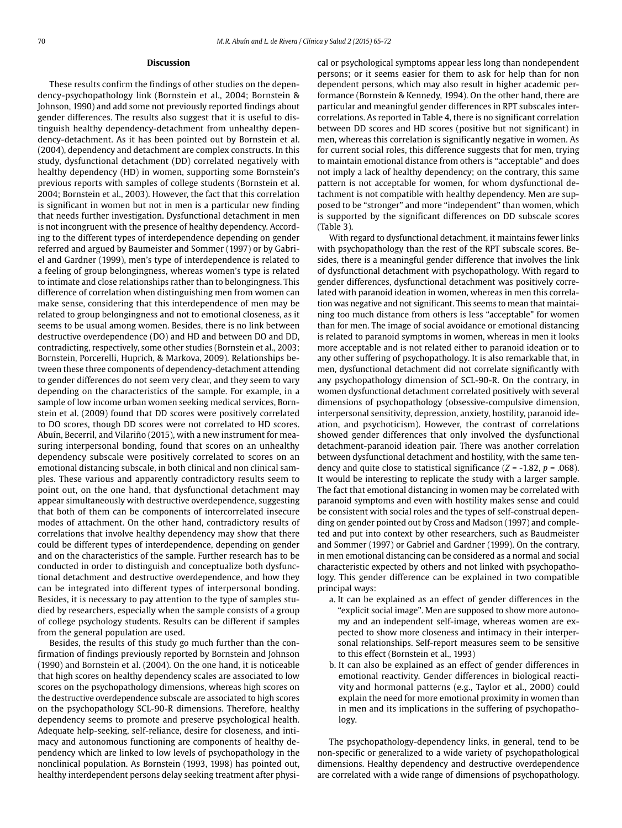#### **Discussion**

These results confirm the findings of other studies on the dependency-psychopathology link (Bornstein et al., 2004; Bornstein & Johnson, 1990) and add some not previously reported findings about gender differences. The results also suggest that it is useful to distinguish healthy dependency-detachment from unhealthy dependency-detachment. As it has been pointed out by Bornstein et al. (2004), dependency and detachment are complex constructs. In this study, dysfunctional detachment (DD) correlated negatively with healthy dependency (HD) in women, supporting some Bornstein's previous reports with samples of college students (Bornstein et al. 2004; Bornstein et al., 2003). However, the fact that this correlation is significant in women but not in men is a particular new finding that needs further investigation. Dysfunctional detachment in men is not incongruent with the presence of healthy dependency. According to the different types of interdependence depending on gender referred and argued by Baumeister and Sommer (1997) or by Gabriel and Gardner (1999), men's type of interdependence is related to a feeling of group belongingness, whereas women's type is related to intimate and close relationships rather than to belongingness. This difference of correlation when distinguishing men from women can make sense, considering that this interdependence of men may be related to group belongingness and not to emotional closeness, as it seems to be usual among women. Besides, there is no link between destructive overdependence (DO) and HD and between DO and DD, contradicting, respectively, some other studies (Bornstein et al., 2003; Bornstein, Porcerelli, Huprich, & Markova, 2009). Relationships between these three components of dependency-detachment attending to gender differences do not seem very clear, and they seem to vary depending on the characteristics of the sample. For example, in a sample of low income urban women seeking medical services, Bornstein et al. (2009) found that DD scores were positively correlated to DO scores, though DD scores were not correlated to HD scores. Abuín, Becerril, and Vilariño (2015), with a new instrument for measuring interpersonal bonding, found that scores on an unhealthy dependency subscale were positively correlated to scores on an emotional distancing subscale, in both clinical and non clinical samples. These various and apparently contradictory results seem to point out, on the one hand, that dysfunctional detachment may appear simultaneously with destructive overdependence, suggesting that both of them can be components of intercorrelated insecure modes of attachment. On the other hand, contradictory results of correlations that involve healthy dependency may show that there could be different types of interdependence, depending on gender and on the characteristics of the sample. Further research has to be conducted in order to distinguish and conceptualize both dysfunctional detachment and destructive overdependence, and how they can be integrated into different types of interpersonal bonding. Besides, it is necessary to pay attention to the type of samples studied by researchers, especially when the sample consists of a group of college psychology students. Results can be different if samples from the general population are used.

Besides, the results of this study go much further than the confirmation of findings previously reported by Bornstein and Johnson (1990) and Bornstein et al. (2004). On the one hand, it is noticeable that high scores on healthy dependency scales are associated to low scores on the psychopathology dimensions, whereas high scores on the destructive overdependence subscale are associated to high scores on the psychopathology SCL-90-R dimensions. Therefore, healthy dependency seems to promote and preserve psychological health. Adequate help-seeking, self-reliance, desire for closeness, and intimacy and autonomous functioning are components of healthy dependency which are linked to low levels of psychopathology in the nonclinical population. As Bornstein (1993, 1998) has pointed out, healthy interdependent persons delay seeking treatment after physical or psychological symptoms appear less long than nondependent persons; or it seems easier for them to ask for help than for non dependent persons, which may also result in higher academic performance (Bornstein & Kennedy, 1994). On the other hand, there are particular and meaningful gender differences in RPT subscales intercorrelations. As reported in Table 4, there is no significant correlation between DD scores and HD scores (positive but not significant) in men, whereas this correlation is significantly negative in women. As for current social roles, this difference suggests that for men, trying to maintain emotional distance from others is "acceptable" and does not imply a lack of healthy dependency; on the contrary, this same pattern is not acceptable for women, for whom dysfunctional detachment is not compatible with healthy dependency. Men are supposed to be "stronger" and more "independent" than women, which is supported by the significant differences on DD subscale scores (Table 3).

With regard to dysfunctional detachment, it maintains fewer links with psychopathology than the rest of the RPT subscale scores. Besides, there is a meaningful gender difference that involves the link of dysfunctional detachment with psychopathology. With regard to gender differences, dysfunctional detachment was positively correlated with paranoid ideation in women, whereas in men this correlation was negative and not significant. This seems to mean that maintaining too much distance from others is less "acceptable" for women than for men. The image of social avoidance or emotional distancing is related to paranoid symptoms in women, whereas in men it looks more acceptable and is not related either to paranoid ideation or to any other suffering of psychopathology. It is also remarkable that, in men, dysfunctional detachment did not correlate significantly with any psychopathology dimension of SCL-90-R. On the contrary, in women dysfunctional detachment correlated positively with several dimensions of psychopathology (obsessive-compulsive dimension, interpersonal sensitivity, depression, anxiety, hostility, paranoid ideation, and psychoticism). However, the contrast of correlations showed gender differences that only involved the dysfunctional detachment-paranoid ideation pair. There was another correlation between dysfunctional detachment and hostility, with the same tendency and quite close to statistical significance (*Z* = -1.82, *p* = .068). It would be interesting to replicate the study with a larger sample. The fact that emotional distancing in women may be correlated with paranoid symptoms and even with hostility makes sense and could be consistent with social roles and the types of self-construal depending on gender pointed out by Cross and Madson (1997) and completed and put into context by other researchers, such as Baudmeister and Sommer (1997) or Gabriel and Gardner (1999). On the contrary, in men emotional distancing can be considered as a normal and social characteristic expected by others and not linked with psychopathology. This gender difference can be explained in two compatible principal ways:

- a. It can be explained as an effect of gender differences in the "explicit social image". Men are supposed to show more autonomy and an independent self-image, whereas women are expected to show more closeness and intimacy in their interpersonal relationships. Self-report measures seem to be sensitive to this effect (Bornstein et al., 1993)
- b. It can also be explained as an effect of gender differences in emotional reactivity. Gender differences in biological reactivity and hormonal patterns (e.g., Taylor et al., 2000) could explain the need for more emotional proximity in women than in men and its implications in the suffering of psychopathology.

The psychopathology-dependency links, in general, tend to be non-specific or generalized to a wide variety of psychopathological dimensions. Healthy dependency and destructive overdependence are correlated with a wide range of dimensions of psychopathology.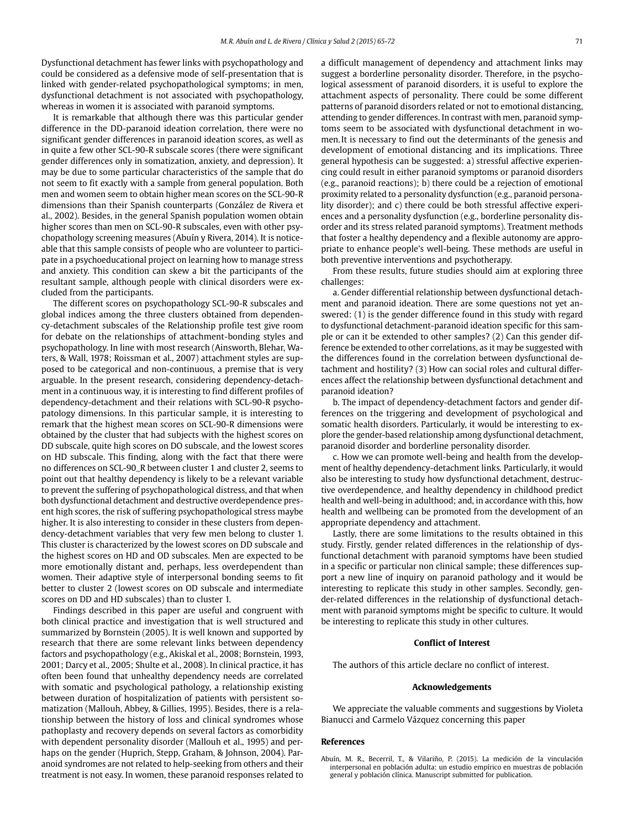Dysfunctional detachment has fewer links with psychopathology and could be considered as a defensive mode of self-presentation that is linked with gender-related psychopathological symptoms; in men, dysfunctional detachment is not associated with psychopathology, whereas in women it is associated with paranoid symptoms.

It is remarkable that although there was this particular gender difference in the DD-paranoid ideation correlation, there were no significant gender differences in paranoid ideation scores, as well as in quite a few other SCL-90-R subscale scores (there were significant gender differences only in somatization, anxiety, and depression). It may be due to some particular characteristics of the sample that do not seem to fit exactly with a sample from general population. Both men and women seem to obtain higher mean scores on the SCL-90-R dimensions than their Spanish counterparts (González de Rivera et al., 2002). Besides, in the general Spanish population women obtain higher scores than men on SCL-90-R subscales, even with other psychopathology screening measures (Abuín y Rivera, 2014). It is noticeable that this sample consists of people who are volunteer to participate in a psychoeducational project on learning how to manage stress and anxiety. This condition can skew a bit the participants of the resultant sample, although people with clinical disorders were excluded from the participants.

The different scores on psychopathology SCL-90-R subscales and global indices among the three clusters obtained from dependency-detachment subscales of the Relationship profile test give room for debate on the relationships of attachment-bonding styles and psychopathology. In line with most research (Ainsworth, Blehar, Waters, & Wall, 1978; Roissman et al., 2007) attachment styles are supposed to be categorical and non-continuous, a premise that is very arguable. In the present research, considering dependency-detachment in a continuous way, it is interesting to find different profiles of dependency-detachment and their relations with SCL-90-R psychopatology dimensions. In this particular sample, it is interesting to remark that the highest mean scores on SCL-90-R dimensions were obtained by the cluster that had subjects with the highest scores on DD subscale, quite high scores on DO subscale, and the lowest scores on HD subscale. This finding, along with the fact that there were no differences on SCL-90\_R between cluster 1 and cluster 2, seems to point out that healthy dependency is likely to be a relevant variable to prevent the suffering of psychopathological distress, and that when both dysfunctional detachment and destructive overdependence present high scores, the risk of suffering psychopathological stress maybe higher. It is also interesting to consider in these clusters from dependency-detachment variables that very few men belong to cluster 1. This cluster is characterized by the lowest scores on DD subscale and the highest scores on HD and OD subscales. Men are expected to be more emotionally distant and, perhaps, less overdependent than women. Their adaptive style of interpersonal bonding seems to fit better to cluster 2 (lowest scores on OD subscale and intermediate scores on DD and HD subscales) than to cluster 1.

Findings described in this paper are useful and congruent with both clinical practice and investigation that is well structured and summarized by Bornstein (2005). It is well known and supported by research that there are some relevant links between dependency factors and psychopathology (e.g., Akiskal et al., 2008; Bornstein, 1993, 2001; Darcy et al., 2005; Shulte et al., 2008). In clinical practice, it has often been found that unhealthy dependency needs are correlated with somatic and psychological pathology, a relationship existing between duration of hospitalization of patients with persistent somatization (Mallouh, Abbey, & Gillies, 1995). Besides, there is a relationship between the history of loss and clinical syndromes whose pathoplasty and recovery depends on several factors as comorbidity with dependent personality disorder (Mallouh et al., 1995) and perhaps on the gender (Huprich, Stepp, Graham, & Johnson, 2004). Paranoid syndromes are not related to help-seeking from others and their treatment is not easy. In women, these paranoid responses related to a difficult management of dependency and attachment links may suggest a borderline personality disorder. Therefore, in the psychological assessment of paranoid disorders, it is useful to explore the attachment aspects of personality. There could be some different patterns of paranoid disorders related or not to emotional distancing, attending to gender differences. In contrast with men, paranoid symptoms seem to be associated with dysfunctional detachment in women. It is necessary to find out the determinants of the genesis and development of emotional distancing and its implications. Three general hypothesis can be suggested: a) stressful affective experiencing could result in either paranoid symptoms or paranoid disorders (e.g., paranoid reactions); b) there could be a rejection of emotional proximity related to a personality dysfunction (e.g., paranoid personality disorder); and c) there could be both stressful affective experiences and a personality dysfunction (e.g., borderline personality disorder and its stress related paranoid symptoms). Treatment methods that foster a healthy dependency and a flexible autonomy are appropriate to enhance people's well-being. These methods are useful in both preventive interventions and psychotherapy.

From these results, future studies should aim at exploring three challenges:

a. Gender differential relationship between dysfunctional detachment and paranoid ideation. There are some questions not yet answered: (1) is the gender difference found in this study with regard to dysfunctional detachment-paranoid ideation specific for this sample or can it be extended to other samples? (2) Can this gender difference be extended to other correlations, as it may be suggested with the differences found in the correlation between dysfunctional detachment and hostility? (3) How can social roles and cultural differences affect the relationship between dysfunctional detachment and paranoid ideation?

b. The impact of dependency-detachment factors and gender differences on the triggering and development of psychological and somatic health disorders. Particularly, it would be interesting to explore the gender-based relationship among dysfunctional detachment, paranoid disorder and borderline personality disorder.

c. How we can promote well-being and health from the development of healthy dependency-detachment links*.* Particularly, it would also be interesting to study how dysfunctional detachment, destructive overdependence, and healthy dependency in childhood predict health and well-being in adulthood; and, in accordance with this, how health and wellbeing can be promoted from the development of an appropriate dependency and attachment.

Lastly, there are some limitations to the results obtained in this study. Firstly, gender related differences in the relationship of dysfunctional detachment with paranoid symptoms have been studied in a specific or particular non clinical sample; these differences support a new line of inquiry on paranoid pathology and it would be interesting to replicate this study in other samples. Secondly, gender-related differences in the relationship of dysfunctional detachment with paranoid symptoms might be specific to culture. It would be interesting to replicate this study in other cultures.

#### **Conflict of Interest**

The authors of this article declare no conflict of interest.

## **Acknowledgements**

We appreciate the valuable comments and suggestions by Violeta Bianucci and Carmelo Vázquez concerning this paper

#### **References**

Abuín, M. R., Becerril, T., & Vilariño, P. (2015). La medición de la vinculación interpersonal en población adulta: un estudio empírico en muestras de población general y población clínica. Manuscript submitted for publication.